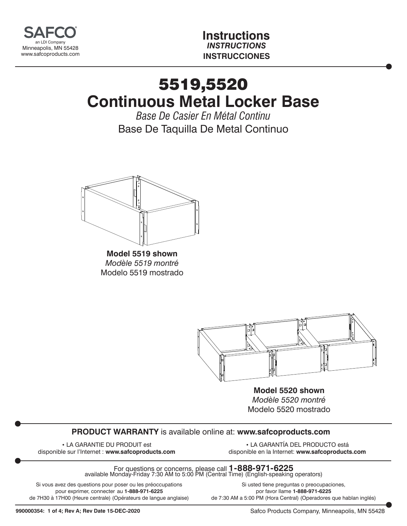

**Instructions** *INSTRUCTIONS* **INSTRUCCIONES**

## 5519,5520 **Continuous Metal Locker Base**

*Base De Casier En Métal Continu* Base De Taquilla De Metal Continuo



**Model 5519 shown** *Modèle 5519 montré* Modelo 5519 mostrado



**Model 5520 shown** *Modèle 5520 montré* Modelo 5520 mostrado

## **PRODUCT WARRANTY** is available online at: **www.safcoproducts.com**

• LA GARANTIE DU PRODUIT est disponible sur l'Internet : **www.safcoproducts.com**

• LA GARANTÍA DEL PRODUCTO está disponible en la Internet: **www.safcoproducts.com**

For questions or concerns, please call **1-888-971-6225** available Monday-Friday 7:30 AM to 5:00 PM (Central Time) (English-speaking operators)

Si vous avez des questions pour poser ou les préoccupations pour exprimer, connecter au **1-888-971-6225** de 7H30 à 17H00 (Heure centrale) (Opérateurs de langue anglaise)

Si usted tiene preguntas o preocupaciones, por favor llame **1-888-971-6225** de 7:30 AM a 5:00 PM (Hora Central) (Operadores que hablan inglés)

Safco Products Company, Minneapolis, MN 55428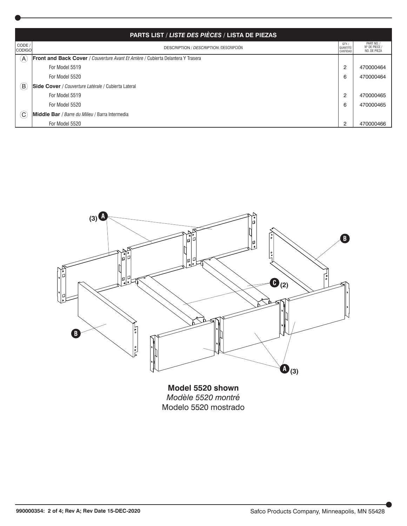| PARTS LIST / LISTE DES PIÈCES / LISTA DE PIEZAS |                                                                                          |                               |                                           |
|-------------------------------------------------|------------------------------------------------------------------------------------------|-------------------------------|-------------------------------------------|
| CODE /<br><b>CODIGO</b>                         | <b>DESCRIPTION / DESCRIPTION /DESCRIPCIÓN</b>                                            | QTY.<br>QUANTITÉ/<br>CANTIDAD | PART NO.<br>Nº DE PIECE /<br>NO. DE PIEZA |
| (A)                                             | <b>Front and Back Cover</b> / Couverture Avant Et Arrière / Cubierta Delantera Y Trasera |                               |                                           |
|                                                 | For Model 5519                                                                           | $\overline{c}$                | 470000464                                 |
|                                                 | For Model 5520                                                                           | 6                             | 470000464                                 |
| $\left(\mathsf{B}\right)$                       | Side Cover / Couverture Latérale / Cubierta Lateral                                      |                               |                                           |
|                                                 | For Model 5519                                                                           | $\overline{c}$                | 470000465                                 |
|                                                 | For Model 5520                                                                           | 6                             | 470000465                                 |
| $\left(  \right)$                               | <b>Middle Bar</b> / Barre du Milieu / Barra Intermedia                                   |                               |                                           |
|                                                 | For Model 5520                                                                           | 2                             | 470000466                                 |



**Model 5520 shown** *Modèle 5520 montré* Modelo 5520 mostrado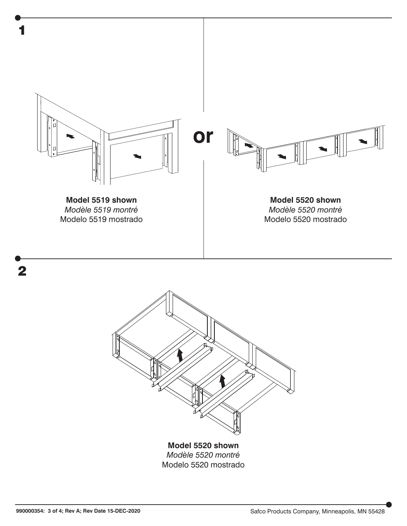



**Model 5520 shown** *Modèle 5520 montré* Modelo 5520 mostrado